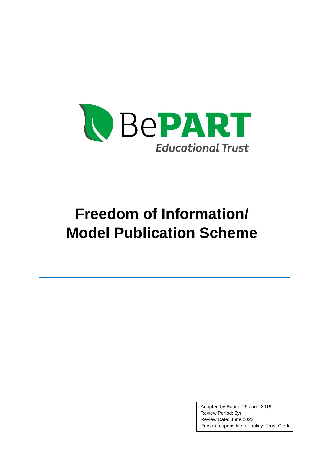

# **Freedom of Information/ Model Publication Scheme**

Adopted by Board: 25 June 2019 Review Period: 3yr Review Date: June 2022 Person responsible for policy: Trust Clerk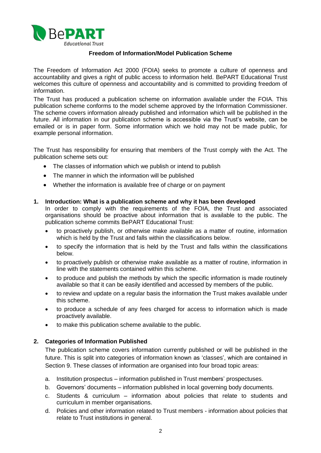

# **Freedom of Information/Model Publication Scheme**

The Freedom of Information Act 2000 (FOIA) seeks to promote a culture of openness and accountability and gives a right of public access to information held. BePART Educational Trust welcomes this culture of openness and accountability and is committed to providing freedom of information.

The Trust has produced a publication scheme on information available under the FOIA. This publication scheme conforms to the model scheme approved by the Information Commissioner. The scheme covers information already published and information which will be published in the future. All information in our publication scheme is accessible via the Trust's website, can be emailed or is in paper form. Some information which we hold may not be made public, for example personal information.

The Trust has responsibility for ensuring that members of the Trust comply with the Act. The publication scheme sets out:

- The classes of information which we publish or intend to publish
- The manner in which the information will be published
- Whether the information is available free of charge or on payment

## **1. Introduction: What is a publication scheme and why it has been developed**

In order to comply with the requirements of the FOIA, the Trust and associated organisations should be proactive about information that is available to the public. The publication scheme commits BePART Educational Trust:

- to proactively publish, or otherwise make available as a matter of routine, information which is held by the Trust and falls within the classifications below.
- to specify the information that is held by the Trust and falls within the classifications below.
- to proactively publish or otherwise make available as a matter of routine, information in line with the statements contained within this scheme.
- to produce and publish the methods by which the specific information is made routinely available so that it can be easily identified and accessed by members of the public.
- to review and update on a regular basis the information the Trust makes available under this scheme.
- to produce a schedule of any fees charged for access to information which is made proactively available.
- to make this publication scheme available to the public.

# **2. Categories of Information Published**

The publication scheme covers information currently published or will be published in the future. This is split into categories of information known as 'classes', which are contained in Section 9. These classes of information are organised into four broad topic areas:

- a. Institution prospectus information published in Trust members' prospectuses.
- b. Governors' documents information published in local governing body documents.
- c. Students & curriculum information about policies that relate to students and curriculum in member organisations.
- d. Policies and other information related to Trust members information about policies that relate to Trust institutions in general.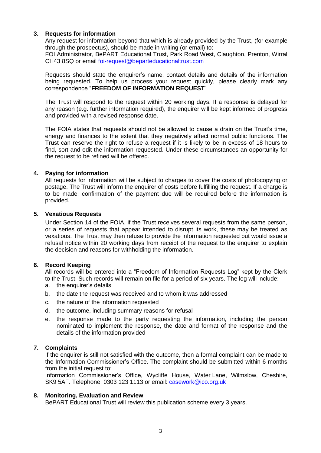## **3. Requests for information**

Any request for information beyond that which is already provided by the Trust, (for example through the prospectus), should be made in writing (or email) to: FOI Administrator, BePART Educational Trust, Park Road West, Claughton, Prenton, Wirral CH43 8SQ or email [foi-request@beparteducationaltrust.com](mailto:foi-request@beparteducationaltrust.com)

Requests should state the enquirer's name, contact details and details of the information being requested. To help us process your request quickly, please clearly mark any correspondence "**FREEDOM OF INFORMATION REQUEST**".

The Trust will respond to the request within 20 working days. If a response is delayed for any reason (e.g. further information required), the enquirer will be kept informed of progress and provided with a revised response date.

The FOIA states that requests should not be allowed to cause a drain on the Trust's time, energy and finances to the extent that they negatively affect normal public functions. The Trust can reserve the right to refuse a request if it is likely to be in excess of 18 hours to find, sort and edit the information requested. Under these circumstances an opportunity for the request to be refined will be offered.

## **4. Paying for information**

All requests for information will be subject to charges to cover the costs of photocopying or postage. The Trust will inform the enquirer of costs before fulfilling the request. If a charge is to be made, confirmation of the payment due will be required before the information is provided.

## **5. Vexatious Requests**

Under Section 14 of the FOIA, if the Trust receives several requests from the same person, or a series of requests that appear intended to disrupt its work, these may be treated as vexatious. The Trust may then refuse to provide the information requested but would issue a refusal notice within 20 working days from receipt of the request to the enquirer to explain the decision and reasons for withholding the information.

# **6. Record Keeping**

All records will be entered into a "Freedom of Information Requests Log" kept by the Clerk to the Trust. Such records will remain on file for a period of six years. The log will include:

- a. the enquirer's details
- b. the date the request was received and to whom it was addressed
- c. the nature of the information requested
- d. the outcome, including summary reasons for refusal
- e. the response made to the party requesting the information, including the person nominated to implement the response, the date and format of the response and the details of the information provided

# **7. Complaints**

If the enquirer is still not satisfied with the outcome, then a formal complaint can be made to the Information Commissioner's Office. The complaint should be submitted within 6 months from the initial request to:

Information Commissioner's Office, Wycliffe House, Water Lane, Wilmslow, Cheshire, SK9 5AF. Telephone: 0303 123 1113 or email: [casework@ico.org.uk](mailto:casework@ico.org.uk)

#### **8. Monitoring, Evaluation and Review**

BePART Educational Trust will review this publication scheme every 3 years.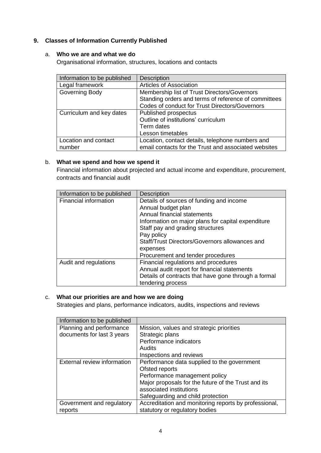# **9. Classes of Information Currently Published**

## a. **Who we are and what we do**

Organisational information, structures, locations and contacts

| Information to be published | <b>Description</b>                                   |
|-----------------------------|------------------------------------------------------|
| Legal framework             | <b>Articles of Association</b>                       |
| Governing Body              | Membership list of Trust Directors/Governors         |
|                             | Standing orders and terms of reference of committees |
|                             | Codes of conduct for Trust Directors/Governors       |
| Curriculum and key dates    | Published prospectus                                 |
|                             | Outline of institutions' curriculum                  |
|                             | Term dates                                           |
|                             | Lesson timetables                                    |
| Location and contact        | Location, contact details, telephone numbers and     |
| number                      | email contacts for the Trust and associated websites |

# b. **What we spend and how we spend it**

Financial information about projected and actual income and expenditure, procurement, contracts and financial audit

| Information to be published | <b>Description</b>                                   |
|-----------------------------|------------------------------------------------------|
| Financial information       | Details of sources of funding and income             |
|                             | Annual budget plan                                   |
|                             | Annual financial statements                          |
|                             | Information on major plans for capital expenditure   |
|                             | Staff pay and grading structures                     |
|                             | Pay policy                                           |
|                             | Staff/Trust Directors/Governors allowances and       |
|                             | expenses                                             |
|                             | Procurement and tender procedures                    |
| Audit and regulations       | Financial regulations and procedures                 |
|                             | Annual audit report for financial statements         |
|                             | Details of contracts that have gone through a formal |
|                             | tendering process                                    |

# c. **What our priorities are and how we are doing**

Strategies and plans, performance indicators, audits, inspections and reviews

| Information to be published |                                                       |
|-----------------------------|-------------------------------------------------------|
| Planning and performance    | Mission, values and strategic priorities              |
| documents for last 3 years  | Strategic plans                                       |
|                             | Performance indicators                                |
|                             | Audits                                                |
|                             | Inspections and reviews                               |
| External review information | Performance data supplied to the government           |
|                             | Ofsted reports                                        |
|                             | Performance management policy                         |
|                             | Major proposals for the future of the Trust and its   |
|                             | associated institutions                               |
|                             | Safeguarding and child protection                     |
| Government and regulatory   | Accreditation and monitoring reports by professional, |
| reports                     | statutory or regulatory bodies                        |